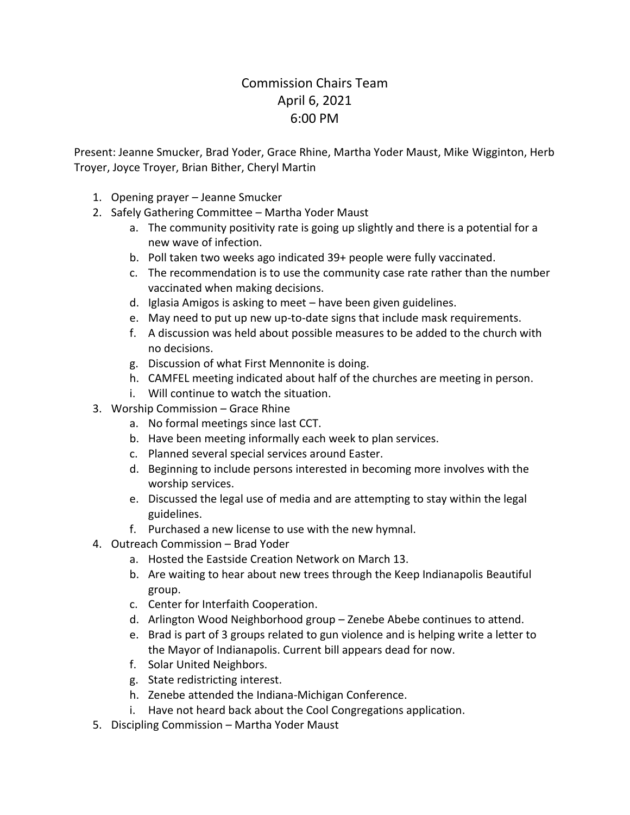## Commission Chairs Team April 6, 2021 6:00 PM

Present: Jeanne Smucker, Brad Yoder, Grace Rhine, Martha Yoder Maust, Mike Wigginton, Herb Troyer, Joyce Troyer, Brian Bither, Cheryl Martin

- 1. Opening prayer Jeanne Smucker
- 2. Safely Gathering Committee Martha Yoder Maust
	- a. The community positivity rate is going up slightly and there is a potential for a new wave of infection.
	- b. Poll taken two weeks ago indicated 39+ people were fully vaccinated.
	- c. The recommendation is to use the community case rate rather than the number vaccinated when making decisions.
	- d. Iglasia Amigos is asking to meet have been given guidelines.
	- e. May need to put up new up-to-date signs that include mask requirements.
	- f. A discussion was held about possible measures to be added to the church with no decisions.
	- g. Discussion of what First Mennonite is doing.
	- h. CAMFEL meeting indicated about half of the churches are meeting in person.
	- i. Will continue to watch the situation.
- 3. Worship Commission Grace Rhine
	- a. No formal meetings since last CCT.
	- b. Have been meeting informally each week to plan services.
	- c. Planned several special services around Easter.
	- d. Beginning to include persons interested in becoming more involves with the worship services.
	- e. Discussed the legal use of media and are attempting to stay within the legal guidelines.
	- f. Purchased a new license to use with the new hymnal.
- 4. Outreach Commission Brad Yoder
	- a. Hosted the Eastside Creation Network on March 13.
	- b. Are waiting to hear about new trees through the Keep Indianapolis Beautiful group.
	- c. Center for Interfaith Cooperation.
	- d. Arlington Wood Neighborhood group Zenebe Abebe continues to attend.
	- e. Brad is part of 3 groups related to gun violence and is helping write a letter to the Mayor of Indianapolis. Current bill appears dead for now.
	- f. Solar United Neighbors.
	- g. State redistricting interest.
	- h. Zenebe attended the Indiana-Michigan Conference.
	- i. Have not heard back about the Cool Congregations application.
- 5. Discipling Commission Martha Yoder Maust